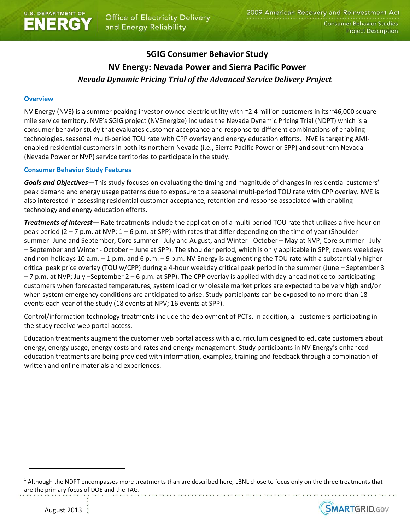# **SGIG Consumer Behavior Study NV Energy: Nevada Power and Sierra Pacific Power** *Nevada Dynamic Pricing Trial of the Advanced Service Delivery Project*

### **Overview**

NV Energy (NVE) is a summer peaking investor-owned electric utility with ~2.4 million customers in its ~46,000 square mile service territory. NVE's SGIG project (NVEnergize) includes the Nevada Dynamic Pricing Trial (NDPT) which is a consumer behavior study that evaluates customer acceptance and response to different combinations of enabling technologies, seasonal multi-period TOU rate with CPP overlay and energy education efforts.<sup>1</sup> NVE is targeting AMIenabled residential customers in both its northern Nevada (i.e., Sierra Pacific Power or SPP) and southern Nevada (Nevada Power or NVP) service territories to participate in the study.

### **Consumer Behavior Study Features**

*Goals and Objectives—*This study focuses on evaluating the timing and magnitude of changes in residential customers' peak demand and energy usage patterns due to exposure to a seasonal multi-period TOU rate with CPP overlay. NVE is also interested in assessing residential customer acceptance, retention and response associated with enabling technology and energy education efforts.

*Treatments of Interest—* Rate treatments include the application of a multi-period TOU rate that utilizes a five-hour onpeak period (2 – 7 p.m. at NVP; 1 – 6 p.m. at SPP) with rates that differ depending on the time of year (Shoulder summer- June and September, Core summer - July and August, and Winter - October – May at NVP; Core summer - July – September and Winter - October – June at SPP). The shoulder period, which is only applicable in SPP, covers weekdays and non-holidays 10 a.m.  $-$  1 p.m. and 6 p.m.  $-$  9 p.m. NV Energy is augmenting the TOU rate with a substantially higher critical peak price overlay (TOU w/CPP) during a 4-hour weekday critical peak period in the summer (June – September 3 – 7 p.m. at NVP; July –September 2 – 6 p.m. at SPP). The CPP overlay is applied with day-ahead notice to participating customers when forecasted temperatures, system load or wholesale market prices are expected to be very high and/or when system emergency conditions are anticipated to arise. Study participants can be exposed to no more than 18 events each year of the study (18 events at NPV; 16 events at SPP).

Control/information technology treatments include the deployment of PCTs. In addition, all customers participating in the study receive web portal access.

Education treatments augment the customer web portal access with a curriculum designed to educate customers about energy, energy usage, energy costs and rates and energy management. Study participants in NV Energy's enhanced education treatments are being provided with information, examples, training and feedback through a combination of written and online materials and experiences.

 $^1$  Although the NDPT encompasses more treatments than are described here, LBNL chose to focus only on the three treatments that are the primary focus of DOE and the TAG.



 $\overline{\phantom{a}}$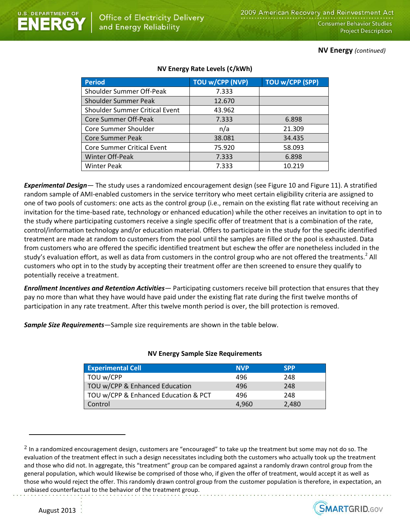**NV Energy** *(continued)*

| <b>Period</b>                         | <b>TOU w/CPP (NVP)</b> | <b>TOU w/CPP (SPP)</b> |
|---------------------------------------|------------------------|------------------------|
| Shoulder Summer Off-Peak              | 7.333                  |                        |
| <b>Shoulder Summer Peak</b>           | 12.670                 |                        |
| <b>Shoulder Summer Critical Event</b> | 43.962                 |                        |
| Core Summer Off-Peak                  | 7.333                  | 6.898                  |
| Core Summer Shoulder                  | n/a                    | 21.309                 |
| <b>Core Summer Peak</b>               | 38.081                 | 34.435                 |
| <b>Core Summer Critical Event</b>     | 75.920                 | 58.093                 |
| Winter Off-Peak                       | 7.333                  | 6.898                  |
| <b>Winter Peak</b>                    | 7.333                  | 10.219                 |

## **NV Energy Rate Levels (¢/kWh)**

*Experimental Design—* The study uses a randomized encouragement design (see Figure 10 and Figure 11). A stratified random sample of AMI-enabled customers in the service territory who meet certain eligibility criteria are assigned to one of two pools of customers: one acts as the control group (i.e., remain on the existing flat rate without receiving an invitation for the time-based rate, technology or enhanced education) while the other receives an invitation to opt in to the study where participating customers receive a single specific offer of treatment that is a combination of the rate, control/information technology and/or education material. Offers to participate in the study for the specific identified treatment are made at random to customers from the pool until the samples are filled or the pool is exhausted. Data from customers who are offered the specific identified treatment but eschew the offer are nonetheless included in the study's evaluation effort, as well as data from customers in the control group who are not offered the treatments.<sup>2</sup> All customers who opt in to the study by accepting their treatment offer are then screened to ensure they qualify to potentially receive a treatment.

*Enrollment Incentives and Retention Activities—* Participating customers receive bill protection that ensures that they pay no more than what they have would have paid under the existing flat rate during the first twelve months of participation in any rate treatment. After this twelve month period is over, the bill protection is removed.

*Sample Size Requirements—*Sample size requirements are shown in the table below.

Office of Electricity Delivery

and Energy Reliability

**NERG** 

# **Experimental Cell NVP** SPP TOU w/CPP 496 248 TOU w/CPP & Enhanced Education 496 496 TOU w/CPP & Enhanced Education & PCT 496 248 Control 4,960 2,480

### **NV Energy Sample Size Requirements**

 $2$  In a randomized encouragement design, customers are "encouraged" to take up the treatment but some may not do so. The evaluation of the treatment effect in such a design necessitates including both the customers who actually took up the treatment and those who did not. In aggregate, this "treatment" group can be compared against a randomly drawn control group from the general population, which would likewise be comprised of those who, if given the offer of treatment, would accept it as well as those who would reject the offer. This randomly drawn control group from the customer population is therefore, in expectation, an unbiased counterfactual to the behavior of the treatment group.



 $\overline{\phantom{a}}$